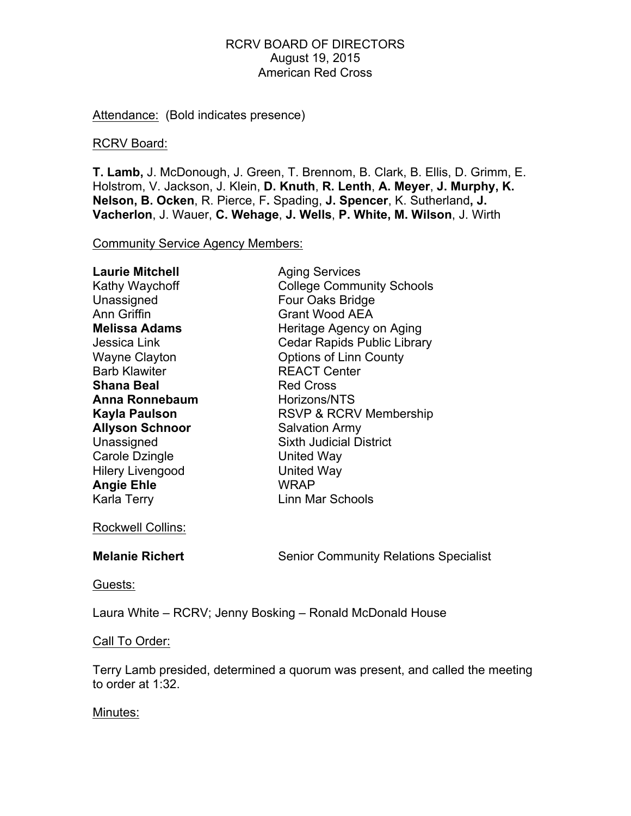Attendance: (Bold indicates presence)

### RCRV Board:

**T. Lamb,** J. McDonough, J. Green, T. Brennom, B. Clark, B. Ellis, D. Grimm, E. Holstrom, V. Jackson, J. Klein, **D. Knuth**, **R. Lenth**, **A. Meyer**, **J. Murphy, K. Nelson, B. Ocken**, R. Pierce, F**.** Spading, **J. Spencer**, K. Sutherland**, J. Vacherlon**, J. Wauer, **C. Wehage**, **J. Wells**, **P. White, M. Wilson**, J. Wirth

Community Service Agency Members:

| <b>Laurie Mitchell</b>  | <b>Aging Services</b>              |
|-------------------------|------------------------------------|
| Kathy Waychoff          | <b>College Community Schools</b>   |
| Unassigned              | Four Oaks Bridge                   |
| Ann Griffin             | <b>Grant Wood AEA</b>              |
| <b>Melissa Adams</b>    | Heritage Agency on Aging           |
| Jessica Link            | <b>Cedar Rapids Public Library</b> |
| <b>Wayne Clayton</b>    | <b>Options of Linn County</b>      |
| <b>Barb Klawiter</b>    | <b>REACT Center</b>                |
| <b>Shana Beal</b>       | <b>Red Cross</b>                   |
| Anna Ronnebaum          | Horizons/NTS                       |
| Kayla Paulson           | <b>RSVP &amp; RCRV Membership</b>  |
| <b>Allyson Schnoor</b>  | <b>Salvation Army</b>              |
| Unassigned              | <b>Sixth Judicial District</b>     |
| Carole Dzingle          | United Way                         |
| <b>Hilery Livengood</b> | <b>United Way</b>                  |
| <b>Angie Ehle</b>       | WRAP                               |
| Karla Terry             | Linn Mar Schools                   |

Rockwell Collins:

**Melanie Richert** Senior Community Relations Specialist

Guests:

Laura White – RCRV; Jenny Bosking – Ronald McDonald House

## Call To Order:

Terry Lamb presided, determined a quorum was present, and called the meeting to order at 1:32.

#### Minutes: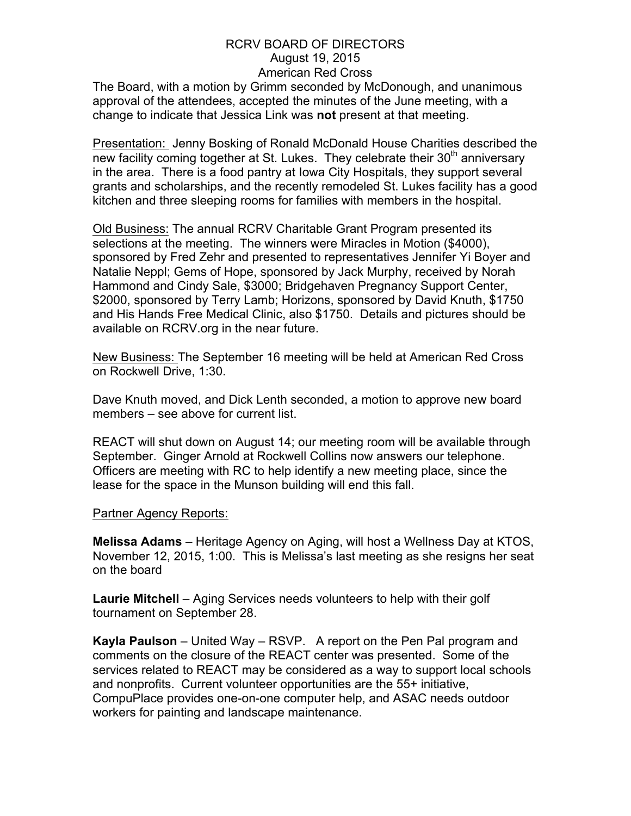The Board, with a motion by Grimm seconded by McDonough, and unanimous approval of the attendees, accepted the minutes of the June meeting, with a change to indicate that Jessica Link was **not** present at that meeting.

Presentation: Jenny Bosking of Ronald McDonald House Charities described the new facility coming together at St. Lukes. They celebrate their  $30<sup>th</sup>$  anniversary in the area. There is a food pantry at Iowa City Hospitals, they support several grants and scholarships, and the recently remodeled St. Lukes facility has a good kitchen and three sleeping rooms for families with members in the hospital.

Old Business: The annual RCRV Charitable Grant Program presented its selections at the meeting. The winners were Miracles in Motion (\$4000), sponsored by Fred Zehr and presented to representatives Jennifer Yi Boyer and Natalie Neppl; Gems of Hope, sponsored by Jack Murphy, received by Norah Hammond and Cindy Sale, \$3000; Bridgehaven Pregnancy Support Center, \$2000, sponsored by Terry Lamb; Horizons, sponsored by David Knuth, \$1750 and His Hands Free Medical Clinic, also \$1750. Details and pictures should be available on RCRV.org in the near future.

New Business: The September 16 meeting will be held at American Red Cross on Rockwell Drive, 1:30.

Dave Knuth moved, and Dick Lenth seconded, a motion to approve new board members – see above for current list.

REACT will shut down on August 14; our meeting room will be available through September. Ginger Arnold at Rockwell Collins now answers our telephone. Officers are meeting with RC to help identify a new meeting place, since the lease for the space in the Munson building will end this fall.

#### Partner Agency Reports:

**Melissa Adams** – Heritage Agency on Aging, will host a Wellness Day at KTOS, November 12, 2015, 1:00. This is Melissa's last meeting as she resigns her seat on the board

**Laurie Mitchell** – Aging Services needs volunteers to help with their golf tournament on September 28.

**Kayla Paulson** – United Way – RSVP. A report on the Pen Pal program and comments on the closure of the REACT center was presented. Some of the services related to REACT may be considered as a way to support local schools and nonprofits. Current volunteer opportunities are the 55+ initiative, CompuPlace provides one-on-one computer help, and ASAC needs outdoor workers for painting and landscape maintenance.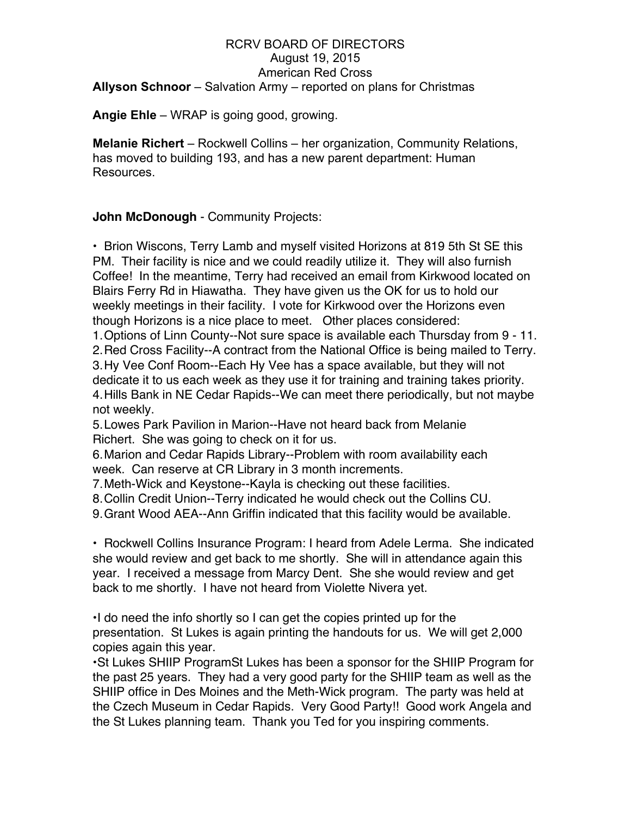## RCRV BOARD OF DIRECTORS August 19, 2015 American Red Cross **Allyson Schnoor** – Salvation Army – reported on plans for Christmas

**Angie Ehle** – WRAP is going good, growing.

**Melanie Richert** – Rockwell Collins – her organization, Community Relations, has moved to building 193, and has a new parent department: Human Resources.

# **John McDonough** - Community Projects:

• Brion Wiscons, Terry Lamb and myself visited Horizons at 819 5th St SE this PM. Their facility is nice and we could readily utilize it. They will also furnish Coffee! In the meantime, Terry had received an email from Kirkwood located on Blairs Ferry Rd in Hiawatha. They have given us the OK for us to hold our weekly meetings in their facility. I vote for Kirkwood over the Horizons even though Horizons is a nice place to meet. Other places considered:

1.Options of Linn County--Not sure space is available each Thursday from 9 - 11. 2.Red Cross Facility--A contract from the National Office is being mailed to Terry. 3.Hy Vee Conf Room--Each Hy Vee has a space available, but they will not dedicate it to us each week as they use it for training and training takes priority. 4.Hills Bank in NE Cedar Rapids--We can meet there periodically, but not maybe not weekly.

5.Lowes Park Pavilion in Marion--Have not heard back from Melanie Richert. She was going to check on it for us.

6.Marion and Cedar Rapids Library--Problem with room availability each week. Can reserve at CR Library in 3 month increments.

7.Meth-Wick and Keystone--Kayla is checking out these facilities.

8.Collin Credit Union--Terry indicated he would check out the Collins CU.

9.Grant Wood AEA--Ann Griffin indicated that this facility would be available.

• Rockwell Collins Insurance Program: I heard from Adele Lerma. She indicated she would review and get back to me shortly. She will in attendance again this year. I received a message from Marcy Dent. She she would review and get back to me shortly. I have not heard from Violette Nivera yet.

•I do need the info shortly so I can get the copies printed up for the presentation. St Lukes is again printing the handouts for us. We will get 2,000 copies again this year.

•St Lukes SHIIP ProgramSt Lukes has been a sponsor for the SHIIP Program for the past 25 years. They had a very good party for the SHIIP team as well as the SHIIP office in Des Moines and the Meth-Wick program. The party was held at the Czech Museum in Cedar Rapids. Very Good Party!! Good work Angela and the St Lukes planning team. Thank you Ted for you inspiring comments.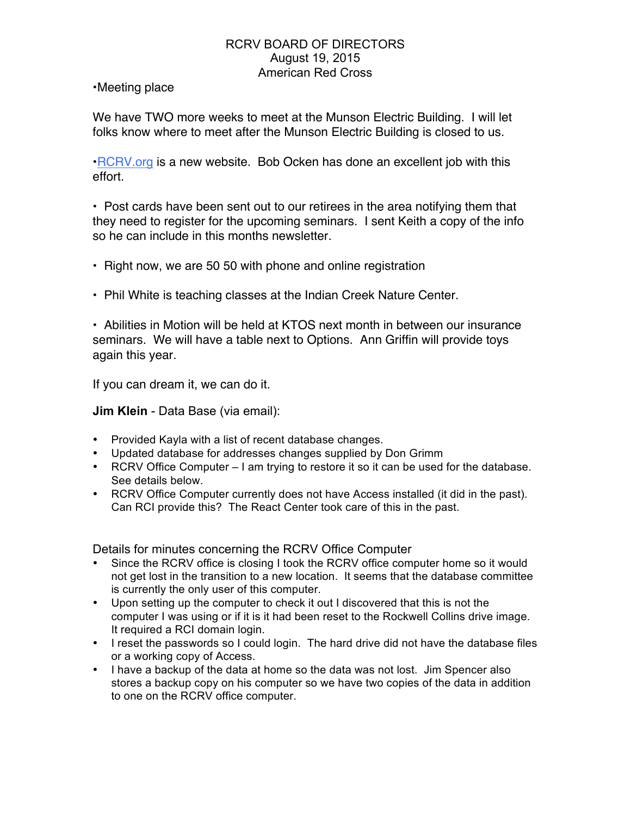•Meeting place

We have TWO more weeks to meet at the Munson Electric Building. I will let folks know where to meet after the Munson Electric Building is closed to us.

•RCRV.org is a new website. Bob Ocken has done an excellent job with this effort.

• Post cards have been sent out to our retirees in the area notifying them that they need to register for the upcoming seminars. I sent Keith a copy of the info so he can include in this months newsletter.

- Right now, we are 50 50 with phone and online registration
- Phil White is teaching classes at the Indian Creek Nature Center.

• Abilities in Motion will be held at KTOS next month in between our insurance seminars. We will have a table next to Options. Ann Griffin will provide toys again this year.

If you can dream it, we can do it.

**Jim Klein** - Data Base (via email):

- Provided Kayla with a list of recent database changes.
- Updated database for addresses changes supplied by Don Grimm
- RCRV Office Computer I am trying to restore it so it can be used for the database. See details below.
- RCRV Office Computer currently does not have Access installed (it did in the past). Can RCI provide this? The React Center took care of this in the past.

Details for minutes concerning the RCRV Office Computer

- Since the RCRV office is closing I took the RCRV office computer home so it would not get lost in the transition to a new location. It seems that the database committee is currently the only user of this computer.
- Upon setting up the computer to check it out I discovered that this is not the computer I was using or if it is it had been reset to the Rockwell Collins drive image. It required a RCI domain login.
- I reset the passwords so I could login. The hard drive did not have the database files or a working copy of Access.
- I have a backup of the data at home so the data was not lost. Jim Spencer also stores a backup copy on his computer so we have two copies of the data in addition to one on the RCRV office computer.